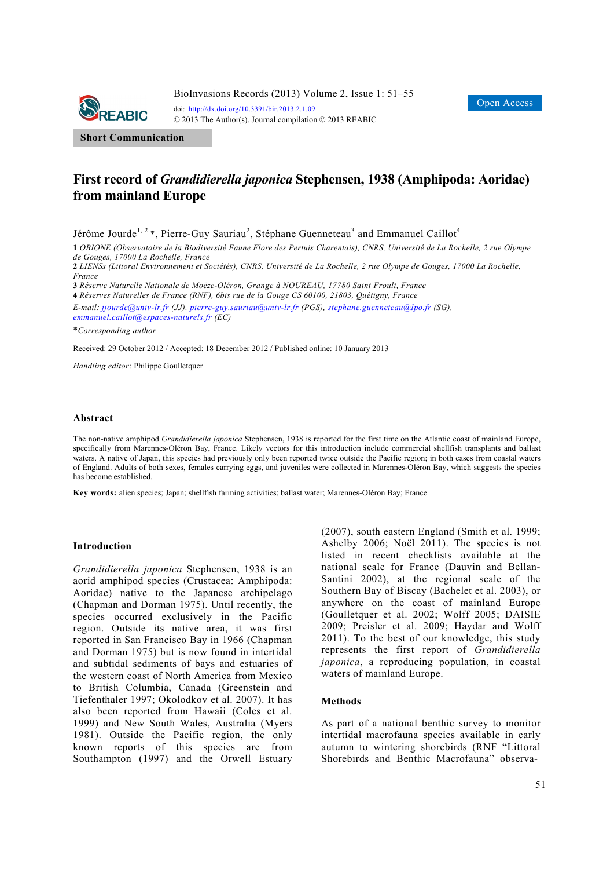

**Short Communication**

# **First record of** *Grandidierella japonica* **Stephensen, 1938 (Amphipoda: Aoridae) from mainland Europe**

Jérôme Jourde<sup>1, 2</sup>\*, Pierre-Guy Sauriau<sup>2</sup>, Stéphane Guenneteau<sup>3</sup> and Emmanuel Caillot<sup>4</sup>

**1** *OBIONE (Observatoire de la Biodiversité Faune Flore des Pertuis Charentais), CNRS, Université de La Rochelle, 2 rue Olympe de Gouges, 17000 La Rochelle, France* 

**2** *LIENSs (Littoral Environnement et Sociétés), CNRS, Université de La Rochelle, 2 rue Olympe de Gouges, 17000 La Rochelle, France* 

**3** *Réserve Naturelle Nationale de Moëze-Oléron, Grange à NOUREAU, 17780 Saint Froult, France* 

**4** *Réserves Naturelles de France (RNF), 6bis rue de la Gouge CS 60100, 21803, Quétigny, France* 

*E-mail: jjourde@univ-lr.fr (JJ), pierre-guy.sauriau@univ-lr.fr (PGS), stephane.guenneteau@lpo.fr (SG), emmanuel.caillot@espaces-naturels.fr (EC)*

\**Corresponding author* 

Received: 29 October 2012 / Accepted: 18 December 2012 / Published online: 10 January 2013

*Handling editor*: Philippe Goulletquer

### **Abstract**

The non-native amphipod *Grandidierella japonica* Stephensen, 1938 is reported for the first time on the Atlantic coast of mainland Europe, specifically from Marennes-Oléron Bay, France. Likely vectors for this introduction include commercial shellfish transplants and ballast waters. A native of Japan, this species had previously only been reported twice outside the Pacific region; in both cases from coastal waters of England. Adults of both sexes, females carrying eggs, and juveniles were collected in Marennes-Oléron Bay, which suggests the species has become established.

**Key words:** alien species; Japan; shellfish farming activities; ballast water; Marennes-Oléron Bay; France

### **Introduction**

*Grandidierella japonica* Stephensen, 1938 is an aorid amphipod species (Crustacea: Amphipoda: Aoridae) native to the Japanese archipelago (Chapman and Dorman 1975). Until recently, the species occurred exclusively in the Pacific region. Outside its native area, it was first reported in San Francisco Bay in 1966 (Chapman and Dorman 1975) but is now found in intertidal and subtidal sediments of bays and estuaries of the western coast of North America from Mexico to British Columbia, Canada (Greenstein and Tiefenthaler 1997; Okolodkov et al. 2007). It has also been reported from Hawaii (Coles et al. 1999) and New South Wales, Australia (Myers 1981). Outside the Pacific region, the only known reports of this species are from Southampton (1997) and the Orwell Estuary

(2007), south eastern England (Smith et al. 1999; Ashelby 2006; Noël 2011). The species is not listed in recent checklists available at the national scale for France (Dauvin and Bellan-Santini 2002), at the regional scale of the Southern Bay of Biscay (Bachelet et al. 2003), or anywhere on the coast of mainland Europe (Goulletquer et al. 2002; Wolff 2005; DAISIE 2009; Preisler et al. 2009; Haydar and Wolff 2011). To the best of our knowledge, this study represents the first report of *Grandidierella japonica*, a reproducing population, in coastal waters of mainland Europe.

### **Methods**

As part of a national benthic survey to monitor intertidal macrofauna species available in early autumn to wintering shorebirds (RNF "Littoral Shorebirds and Benthic Macrofauna" observa-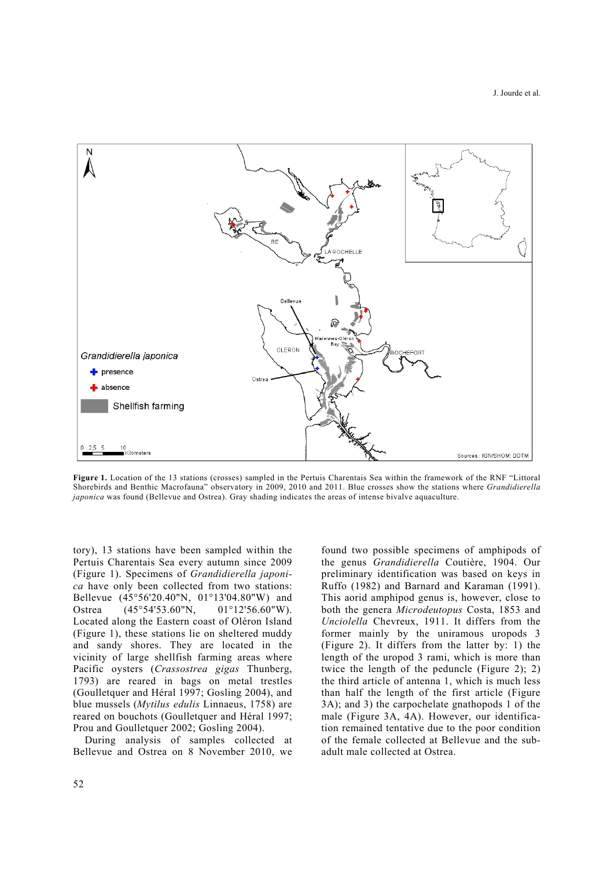

**Figure 1.** Location of the 13 stations (crosses) sampled in the Pertuis Charentais Sea within the framework of the RNF "Littoral Shorebirds and Benthic Macrofauna" observatory in 2009, 2010 and 2011. Blue crosses show the stations where *Grandidierella japonica* was found (Bellevue and Ostrea). Gray shading indicates the areas of intense bivalve aquaculture.

tory), 13 stations have been sampled within the Pertuis Charentais Sea every autumn since 2009 (Figure 1). Specimens of *Grandidierella japonica* have only been collected from two stations: Bellevue (45°56'20.40"N, 01°13'04.80"W) and Ostrea (45°54'53.60"N, 01°12'56.60"W). Located along the Eastern coast of Oléron Island (Figure 1), these stations lie on sheltered muddy and sandy shores. They are located in the vicinity of large shellfish farming areas where Pacific oysters (*Crassostrea gigas* Thunberg, 1793) are reared in bags on metal trestles (Goulletquer and Héral 1997; Gosling 2004), and blue mussels (*Mytilus edulis* Linnaeus, 1758) are reared on bouchots (Goulletquer and Héral 1997; Prou and Goulletquer 2002; Gosling 2004).

During analysis of samples collected at Bellevue and Ostrea on 8 November 2010, we found two possible specimens of amphipods of the genus *Grandidierella* Coutière, 1904. Our preliminary identification was based on keys in Ruffo (1982) and Barnard and Karaman (1991). This aorid amphipod genus is, however, close to both the genera *Microdeutopus* Costa, 1853 and *Unciolella* Chevreux, 1911. It differs from the former mainly by the uniramous uropods 3 (Figure 2). It differs from the latter by: 1) the length of the uropod 3 rami, which is more than twice the length of the peduncle (Figure 2); 2) the third article of antenna 1, which is much less than half the length of the first article (Figure 3A); and 3) the carpochelate gnathopods 1 of the male (Figure 3A, 4A). However, our identification remained tentative due to the poor condition of the female collected at Bellevue and the subadult male collected at Ostrea.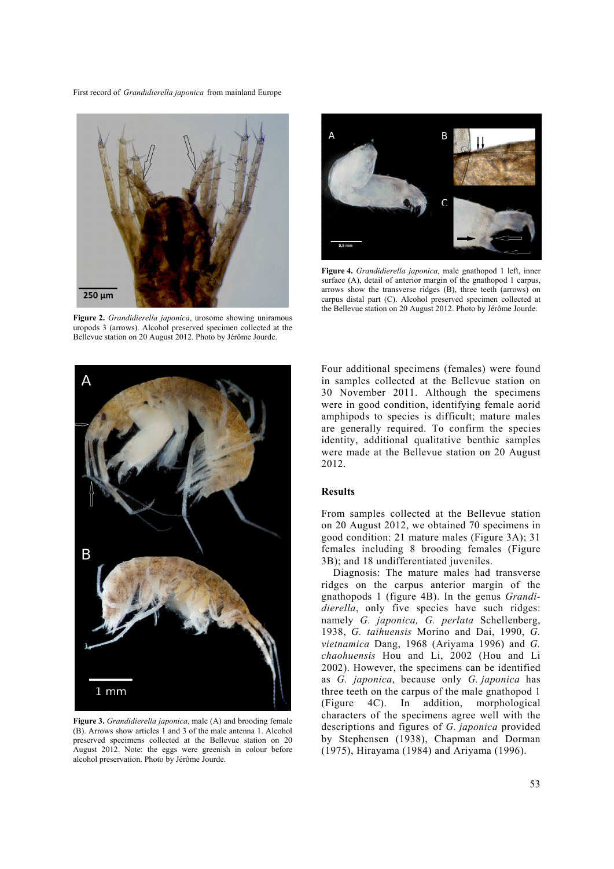

**Figure 2.** *Grandidierella japonica*, urosome showing uniramous uropods 3 (arrows). Alcohol preserved specimen collected at the Bellevue station on 20 August 2012. Photo by Jérôme Jourde.



**Figure 4.** *Grandidierella japonica*, male gnathopod 1 left, inner surface (A), detail of anterior margin of the gnathopod 1 carpus, arrows show the transverse ridges (B), three teeth (arrows) on carpus distal part (C). Alcohol preserved specimen collected at the Bellevue station on 20 August 2012. Photo by Jérôme Jourde.



**Figure 3.** *Grandidierella japonica*, male (A) and brooding female (B). Arrows show articles 1 and 3 of the male antenna 1. Alcohol preserved specimens collected at the Bellevue station on 20 August 2012. Note: the eggs were greenish in colour before alcohol preservation. Photo by Jérôme Jourde.

Four additional specimens (females) were found in samples collected at the Bellevue station on 30 November 2011. Although the specimens were in good condition, identifying female aorid amphipods to species is difficult; mature males are generally required. To confirm the species identity, additional qualitative benthic samples were made at the Bellevue station on 20 August 2012.

## **Results**

From samples collected at the Bellevue station on 20 August 2012, we obtained 70 specimens in good condition: 21 mature males (Figure 3A); 31 females including 8 brooding females (Figure 3B); and 18 undifferentiated juveniles.

Diagnosis: The mature males had transverse ridges on the carpus anterior margin of the gnathopods 1 (figure 4B). In the genus *Grandidierella*, only five species have such ridges: namely *G. japonica, G. perlata* Schellenberg, 1938, *G. taihuensis* Morino and Dai, 1990, *G. vietnamica* Dang, 1968 (Ariyama 1996) and *G. chaohuensis* Hou and Li, 2002 (Hou and Li 2002). However, the specimens can be identified as *G. japonica*, because only *G. japonica* has three teeth on the carpus of the male gnathopod 1 (Figure 4C). In addition, morphological characters of the specimens agree well with the descriptions and figures of *G. japonica* provided by Stephensen (1938), Chapman and Dorman (1975), Hirayama (1984) and Ariyama (1996).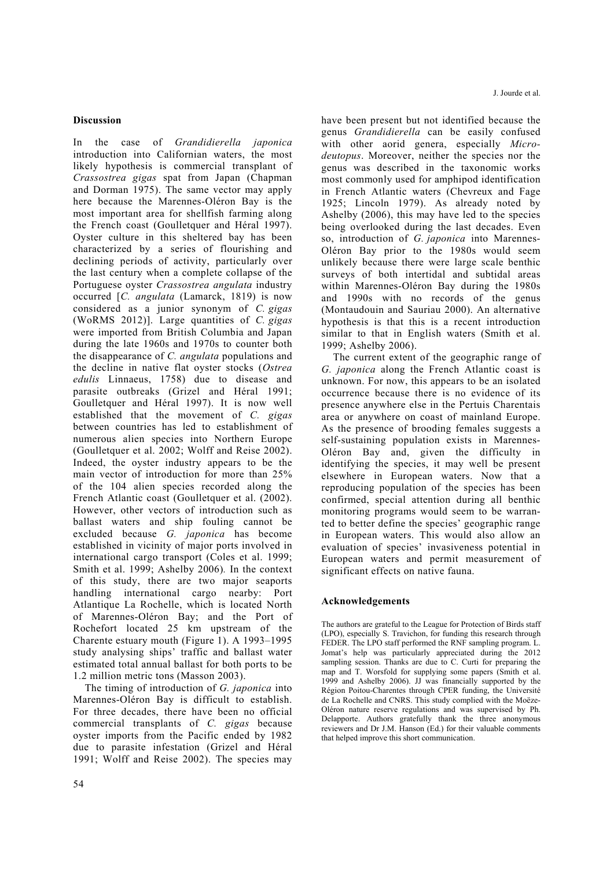## **Discussion**

In the case of *Grandidierella japonica* introduction into Californian waters, the most likely hypothesis is commercial transplant of *Crassostrea gigas* spat from Japan (Chapman and Dorman 1975). The same vector may apply here because the Marennes-Oléron Bay is the most important area for shellfish farming along the French coast (Goulletquer and Héral 1997). Oyster culture in this sheltered bay has been characterized by a series of flourishing and declining periods of activity, particularly over the last century when a complete collapse of the Portuguese oyster *Crassostrea angulata* industry occurred [*C. angulata* (Lamarck, 1819) is now considered as a junior synonym of *C. gigas* (WoRMS 2012)]. Large quantities of *C. gigas* were imported from British Columbia and Japan during the late 1960s and 1970s to counter both the disappearance of *C. angulata* populations and the decline in native flat oyster stocks (*Ostrea edulis* Linnaeus, 1758) due to disease and parasite outbreaks (Grizel and Héral 1991; Goulletquer and Héral 1997). It is now well established that the movement of *C. gigas* between countries has led to establishment of numerous alien species into Northern Europe (Goulletquer et al. 2002; Wolff and Reise 2002). Indeed, the oyster industry appears to be the main vector of introduction for more than 25% of the 104 alien species recorded along the French Atlantic coast (Goulletquer et al. (2002). However, other vectors of introduction such as ballast waters and ship fouling cannot be excluded because *G. japonica* has become established in vicinity of major ports involved in international cargo transport (Coles et al. 1999; Smith et al. 1999; Ashelby 2006)*.* In the context of this study, there are two major seaports handling international cargo nearby: Port Atlantique La Rochelle, which is located North of Marennes-Oléron Bay; and the Port of Rochefort located 25 km upstream of the Charente estuary mouth (Figure 1). A 1993–1995 study analysing ships' traffic and ballast water estimated total annual ballast for both ports to be 1.2 million metric tons (Masson 2003).

The timing of introduction of *G. japonica* into Marennes-Oléron Bay is difficult to establish. For three decades, there have been no official commercial transplants of *C. gigas* because oyster imports from the Pacific ended by 1982 due to parasite infestation (Grizel and Héral 1991; Wolff and Reise 2002). The species may have been present but not identified because the genus *Grandidierella* can be easily confused with other aorid genera, especially *Microdeutopus*. Moreover, neither the species nor the genus was described in the taxonomic works most commonly used for amphipod identification in French Atlantic waters (Chevreux and Fage 1925; Lincoln 1979). As already noted by Ashelby (2006), this may have led to the species being overlooked during the last decades. Even so, introduction of *G. japonica* into Marennes-Oléron Bay prior to the 1980s would seem unlikely because there were large scale benthic surveys of both intertidal and subtidal areas within Marennes-Oléron Bay during the 1980s and 1990s with no records of the genus (Montaudouin and Sauriau 2000). An alternative hypothesis is that this is a recent introduction similar to that in English waters (Smith et al. 1999; Ashelby 2006).

The current extent of the geographic range of *G. japonica* along the French Atlantic coast is unknown. For now, this appears to be an isolated occurrence because there is no evidence of its presence anywhere else in the Pertuis Charentais area or anywhere on coast of mainland Europe. As the presence of brooding females suggests a self-sustaining population exists in Marennes-Oléron Bay and, given the difficulty in identifying the species, it may well be present elsewhere in European waters. Now that a reproducing population of the species has been confirmed, special attention during all benthic monitoring programs would seem to be warranted to better define the species' geographic range in European waters. This would also allow an evaluation of species' invasiveness potential in European waters and permit measurement of significant effects on native fauna.

## **Acknowledgements**

The authors are grateful to the League for Protection of Birds staff (LPO), especially S. Travichon, for funding this research through FEDER. The LPO staff performed the RNF sampling program. L. Jomat's help was particularly appreciated during the 2012 sampling session. Thanks are due to C. Curti for preparing the map and T. Worsfold for supplying some papers (Smith et al. 1999 and Ashelby 2006). JJ was financially supported by the Région Poitou-Charentes through CPER funding, the Université de La Rochelle and CNRS. This study complied with the Moëze-Oléron nature reserve regulations and was supervised by Ph. Delapporte. Authors gratefully thank the three anonymous reviewers and Dr J.M. Hanson (Ed.) for their valuable comments that helped improve this short communication.